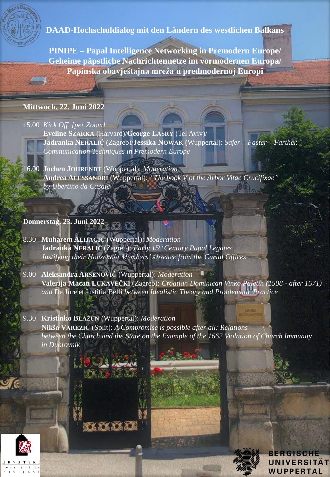

**DAAD-Hochschuldialog mit den Ländern des westlichen Balkans**

**PINIPE – Papal Intelligence Networking in Premodern Europe/ Geheime päpstliche Nachrichtennetze im vormodernen Europa/ Papinska obavještajna mreža u predmodernoj Europi**

## **Mittwoch, 22. Juni 2022**

## 15.00 *Kick Off [per Zoom]*

**Eveline SZARKA** (Harvard)/**George LASRY** (Tel Aviv)/ **Jadranka NERALIĆ** (Zagreb)/**Jessika NOWAK** (Wuppertal): *Safer – Faster – Farther. Communication Techniques in Premodern Europe*

16.00 **Jochen JOHRENDT** (Wuppertal): *Moderation* **Andrea ALESSANDRI** (Wuppertal): *"The book V of the Arbor Vitae Crucifixae" by Ubertino da Casale*

## **Donnerstag, 23. Juni 2022**

8.30 **Muharem ALIJAGIĆ** (Wuppertal): *Moderation* **Jadranka NERALIĆ** (Zagreb): *Early 15th Century Papal Legates Justifying their Household Members' Absence from the Curial Offices*

16868689

9.00 **Aleksandra ARSENOVIĆ** (Wuppertal): *Moderation* **Valerija Macan LUKAVEČKI** (Zagreb): *Croatian Dominican Vinko Paletin (1508 - after 1571) and* De Jure et Iustitia Belli *between Idealistic Theory and Problematic Practice*

9.30 **Kristinko BLA**Ž**UN** (Wuppertal): *Moderation* **Nikša VAREZIĆ** (Split): *A Compromise is possible after all: Relations between the Church and the State on the Example of the 1662 Violation of Church Immunity in Dubrovnik*

> ERGISCI **UNIVERSITAT WUPPERTAL**